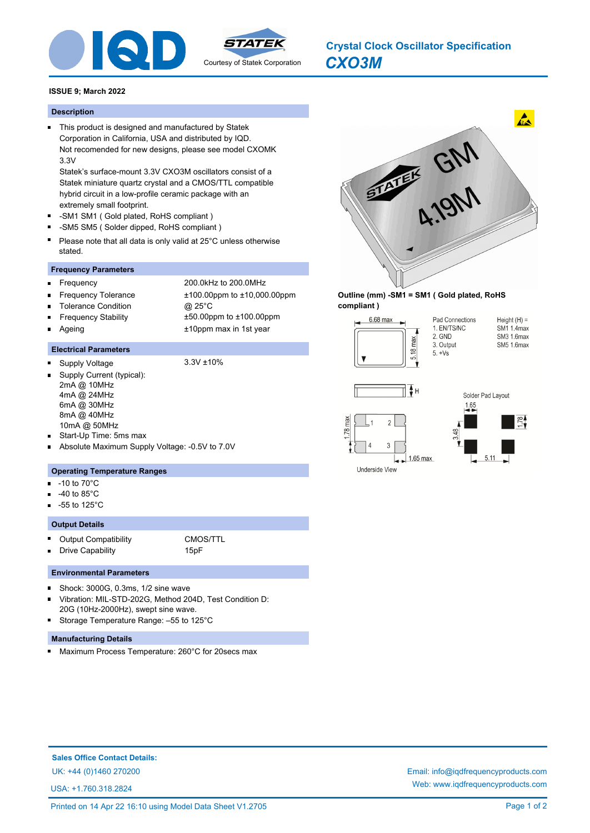

# *CXO3M* **Crystal Clock Oscillator Specification**

# **ISSUE 9; March 2022**

#### **Description**

This product is designed and manufactured by Statek Corporation in California, USA and distributed by IQD. Not recomended for new designs, please see model CXOMK 3.3V

Statek's surface-mount 3.3V CXO3M oscillators consist of a Statek miniature quartz crystal and a CMOS/TTL compatible hybrid circuit in a low-profile ceramic package with an extremely small footprint.

- -SM1 SM1 ( Gold plated, RoHS compliant )
- n. -SM5 SM5 ( Solder dipped, RoHS compliant )
- Please note that all data is only valid at 25°C unless otherwise stated.

# **Frequency Parameters**

- Ė
- Frequency 200.0kHz to 200.0MHz
- 
- Frequency Tolerance ±100.00ppm to ±10,000.00ppm Tolerance Condition @ 25°C
- Frequency Stability ±50.00ppm to ±100.00ppm Ē
	- Ageing the 10ppm max in 1st year

# **Electrical Parameters**

Supply Voltage 3.3V ±10%

- Supply Current (typical): 2mA @ 10MHz 4mA @ 24MHz 6mA @ 30MHz 8mA @ 40MHz 10mA @ 50MHz
- Start-Up Time: 5ms max
- Absolute Maximum Supply Voltage: -0.5V to 7.0V

#### **Operating Temperature Ranges**

- -10 to 70°C n.
- -40 to 85°C
- -55 to 125°C ä.

# **Output Details**

r. Output Compatibility **CMOS/TTL** 

Drive Capability **15pF** 

#### **Environmental Parameters**

- Shock: 3000G, 0.3ms, 1/2 sine wave Vibration: MIL-STD-202G, Method 204D, Test Condition D:
- 20G (10Hz-2000Hz), swept sine wave. Storage Temperature Range: –55 to 125°C O,
- 

# **Manufacturing Details**

Maximum Process Temperature: 260°C for 20secs max  $\blacksquare$ 



#### **Outline (mm) -SM1 = SM1 ( Gold plated, RoHS compliant )**







Underside View

**Sales Office Contact Details:**

USA: +1.760.318.2824

UK: +44 (0)1460 270200 Email: info@iqdfrequencyproducts.com Web: www.iqdfrequencyproducts.com